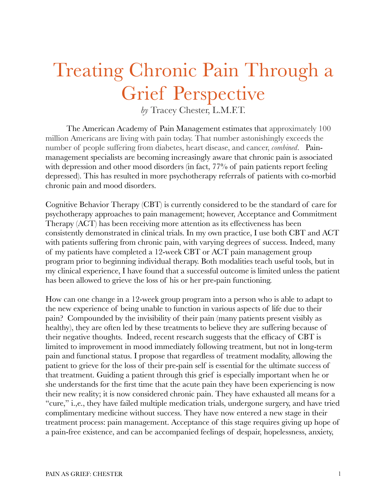## Treating Chronic Pain Through a Grief Perspective

*by* Tracey Chester, L.M.F.T.

 The American Academy of Pain Management estimates that approximately 100 million Americans are living with pain today. That number astonishingly exceeds the number of people suffering from diabetes, heart disease, and cancer, *combined*. Painmanagement specialists are becoming increasingly aware that chronic pain is associated with depression and other mood disorders (in fact, 77% of pain patients report feeling depressed). This has resulted in more psychotherapy referrals of patients with co-morbid chronic pain and mood disorders.

Cognitive Behavior Therapy (CBT) is currently considered to be the standard of care for psychotherapy approaches to pain management; however, Acceptance and Commitment Therapy (ACT) has been receiving more attention as its effectiveness has been consistently demonstrated in clinical trials. In my own practice, I use both CBT and ACT with patients suffering from chronic pain, with varying degrees of success. Indeed, many of my patients have completed a 12-week CBT or ACT pain management group program prior to beginning individual therapy. Both modalities teach useful tools, but in my clinical experience, I have found that a successful outcome is limited unless the patient has been allowed to grieve the loss of his or her pre-pain functioning.

How can one change in a 12-week group program into a person who is able to adapt to the new experience of being unable to function in various aspects of life due to their pain? Compounded by the invisibility of their pain (many patients present visibly as healthy), they are often led by these treatments to believe they are suffering because of their negative thoughts. Indeed, recent research suggests that the efficacy of CBT is limited to improvement in mood immediately following treatment, but not in long-term pain and functional status. I propose that regardless of treatment modality, allowing the patient to grieve for the loss of their pre-pain self is essential for the ultimate success of that treatment. Guiding a patient through this grief is especially important when he or she understands for the first time that the acute pain they have been experiencing is now their new reality; it is now considered chronic pain. They have exhausted all means for a "cure," i.,e., they have failed multiple medication trials, undergone surgery, and have tried complimentary medicine without success. They have now entered a new stage in their treatment process: pain management. Acceptance of this stage requires giving up hope of a pain-free existence, and can be accompanied feelings of despair, hopelessness, anxiety,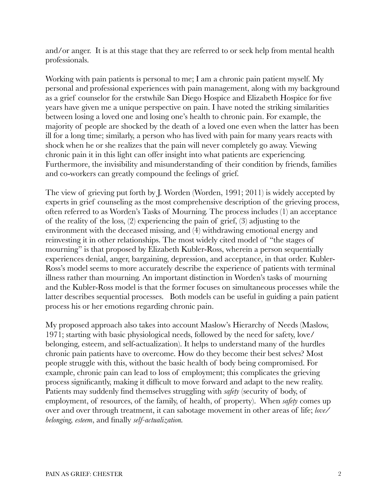and/or anger. It is at this stage that they are referred to or seek help from mental health professionals.

Working with pain patients is personal to me; I am a chronic pain patient myself. My personal and professional experiences with pain management, along with my background as a grief counselor for the erstwhile San Diego Hospice and Elizabeth Hospice for five years have given me a unique perspective on pain. I have noted the striking similarities between losing a loved one and losing one's health to chronic pain. For example, the majority of people are shocked by the death of a loved one even when the latter has been ill for a long time; similarly, a person who has lived with pain for many years reacts with shock when he or she realizes that the pain will never completely go away. Viewing chronic pain it in this light can offer insight into what patients are experiencing. Furthermore, the invisibility and misunderstanding of their condition by friends, families and co-workers can greatly compound the feelings of grief.

The view of grieving put forth by J. Worden (Worden, 1991; 2011) is widely accepted by experts in grief counseling as the most comprehensive description of the grieving process, often referred to as Worden's Tasks of Mourning. The process includes (1) an acceptance of the reality of the loss, (2) experiencing the pain of grief, (3) adjusting to the environment with the deceased missing, and (4) withdrawing emotional energy and reinvesting it in other relationships. The most widely cited model of "the stages of mourning" is that proposed by Elizabeth Kubler-Ross, wherein a person sequentially experiences denial, anger, bargaining, depression, and acceptance, in that order. Kubler-Ross's model seems to more accurately describe the experience of patients with terminal illness rather than mourning. An important distinction in Worden's tasks of mourning and the Kubler-Ross model is that the former focuses on simultaneous processes while the latter describes sequential processes. Both models can be useful in guiding a pain patient process his or her emotions regarding chronic pain.

My proposed approach also takes into account Maslow's Hierarchy of Needs (Maslow, 1971; starting with basic physiological needs, followed by the need for safety, love/ belonging, esteem, and self-actualization). It helps to understand many of the hurdles chronic pain patients have to overcome. How do they become their best selves? Most people struggle with this, without the basic health of body being compromised. For example, chronic pain can lead to loss of employment; this complicates the grieving process significantly, making it difficult to move forward and adapt to the new reality. Patients may suddenly find themselves struggling with *safety* (security of body, of employment, of resources, of the family, of health, of property). When *safety* comes up over and over through treatment, it can sabotage movement in other areas of life; *love/ belonging, esteem*, and finally *self-actualization.*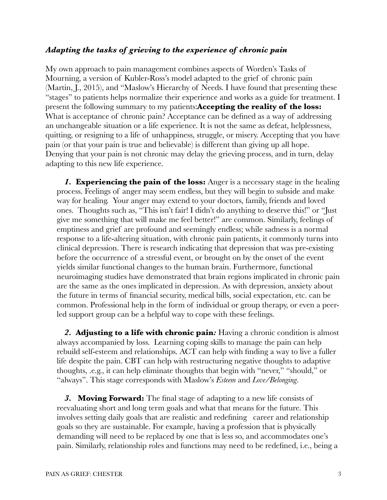## *Adapting the tasks of grieving to the experience of chronic pain*

My own approach to pain management combines aspects of Worden's Tasks of Mourning, a version of Kubler-Ross's model adapted to the grief of chronic pain (Martin, J., 2015), and "Maslow's Hierarchy of Needs. I have found that presenting these "stages" to patients helps normalize their experience and works as a guide for treatment. I present the following summary to my patients:**Accepting the reality of the loss:** What is acceptance of chronic pain? Acceptance can be defined as a way of addressing an unchangeable situation or a life experience. It is not the same as defeat, helplessness, quitting, or resigning to a life of unhappiness, struggle, or misery. Accepting that you have pain (or that your pain is true and believable) is different than giving up all hope. Denying that your pain is not chronic may delay the grieving process, and in turn, delay adapting to this new life experience.

*1.* **Experiencing the pain of the loss:** Anger is a necessary stage in the healing process. Feelings of anger may seem endless, but they will begin to subside and make way for healing. Your anger may extend to your doctors, family, friends and loved ones. Thoughts such as, "This isn't fair! I didn't do anything to deserve this!" or "Just give me something that will make me feel better!" are common. Similarly, feelings of emptiness and grief are profound and seemingly endless; while sadness is a normal response to a life-altering situation, with chronic pain patients, it commonly turns into clinical depression. There is research indicating that depression that was pre-existing before the occurrence of a stressful event, or brought on by the onset of the event yields similar functional changes to the human brain. Furthermore, functional neuroimaging studies have demonstrated that brain regions implicated in chronic pain are the same as the ones implicated in depression. As with depression, anxiety about the future in terms of financial security, medical bills, social expectation, etc. can be common. Professional help in the form of individual or group therapy, or even a peerled support group can be a helpful way to cope with these feelings.

*2.* **Adjusting to a life with chronic pain***:* Having a chronic condition is almost always accompanied by loss. Learning coping skills to manage the pain can help rebuild self-esteem and relationships. ACT can help with finding a way to live a fuller life despite the pain. CBT can help with restructuring negative thoughts to adaptive thoughts, .e.g., it can help eliminate thoughts that begin with "never," "should," or "always". This stage corresponds with Maslow's *Esteem* and *Love/Belonging*.

*3.* **Moving Forward:** The final stage of adapting to a new life consists of reevaluating short and long term goals and what that means for the future. This involves setting daily goals that are realistic and redefining career and relationship goals so they are sustainable. For example, having a profession that is physically demanding will need to be replaced by one that is less so, and accommodates one's pain. Similarly, relationship roles and functions may need to be redefined, i.e., being a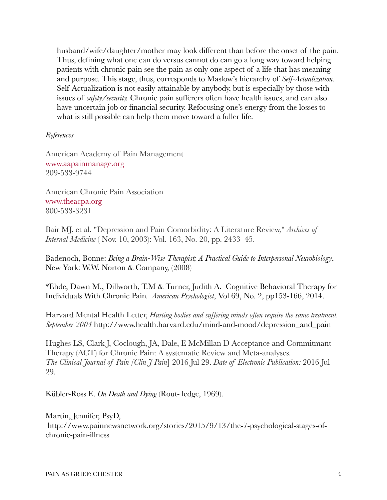husband/wife/daughter/mother may look different than before the onset of the pain. Thus, defining what one can do versus cannot do can go a long way toward helping patients with chronic pain see the pain as only one aspect of a life that has meaning and purpose. This stage, thus, corresponds to Maslow's hierarchy of *Self-Actualization*. Self-Actualization is not easily attainable by anybody, but is especially by those with issues of *safety/security.* Chronic pain sufferers often have health issues, and can also have uncertain job or financial security. Refocusing one's energy from the losses to what is still possible can help them move toward a fuller life.

## *References*

American Academy of Pain Management [www.aapainmanage.org](http://www.aapainmanage.org/) 209-533-9744

American Chronic Pain Association [www.theacpa.org](http://www.theacpa.org/) 800-533-3231

Bair MJ, et al. "Depression and Pain Comorbidity: A Literature Review," *Archives of Internal Medicine* ( Nov. 10, 2003): Vol. 163, No. 20, pp. 2433–45.

Badenoch, Bonne: *Being a Brain-Wise Therapist; A Practical Guide to Interpersonal Neurobiology*, New York: W.W. Norton & Company, (2008)

\*Ehde, Dawn M., Dillworth, T.M & Turner, Judith A. Cognitive Behavioral Therapy for Individuals With Chronic Pain*. American Psychologist*, Vol 69, No. 2, pp153-166, 2014.

Harvard Mental Health Letter, *Hurting bodies and suffering minds often require the same treatment. September 2004* [http://www.health.harvard.edu/mind-and-mood/depression\\_and\\_pain](http://www.health.harvard.edu/mind-and-mood/depression_and_pain)

Hughes LS, Clark J, Coclough, JA, Dale, E McMillan D Acceptance and Commitmant Therapy (ACT) for Chronic Pain: A systematic Review and Meta-analyses. *The Clinical Journal of Pain [Clin J Pain*] 2016 Jul 29. *Date of Electronic Publication:* 2016 Jul 29.

Kübler-Ross E. *On Death and Dying* (Rout- ledge, 1969).

Martin, Jennifer, PsyD, [http://www.painnewsnetwork.org/stories/2015/9/13/the-7-psychological-stages-of](http://www.painnewsnetwork.org/stories/2015/9/13/the-7-psychological-stages-of-chronic-pain-illness)[chronic-pain-illness](http://www.painnewsnetwork.org/stories/2015/9/13/the-7-psychological-stages-of-chronic-pain-illness)